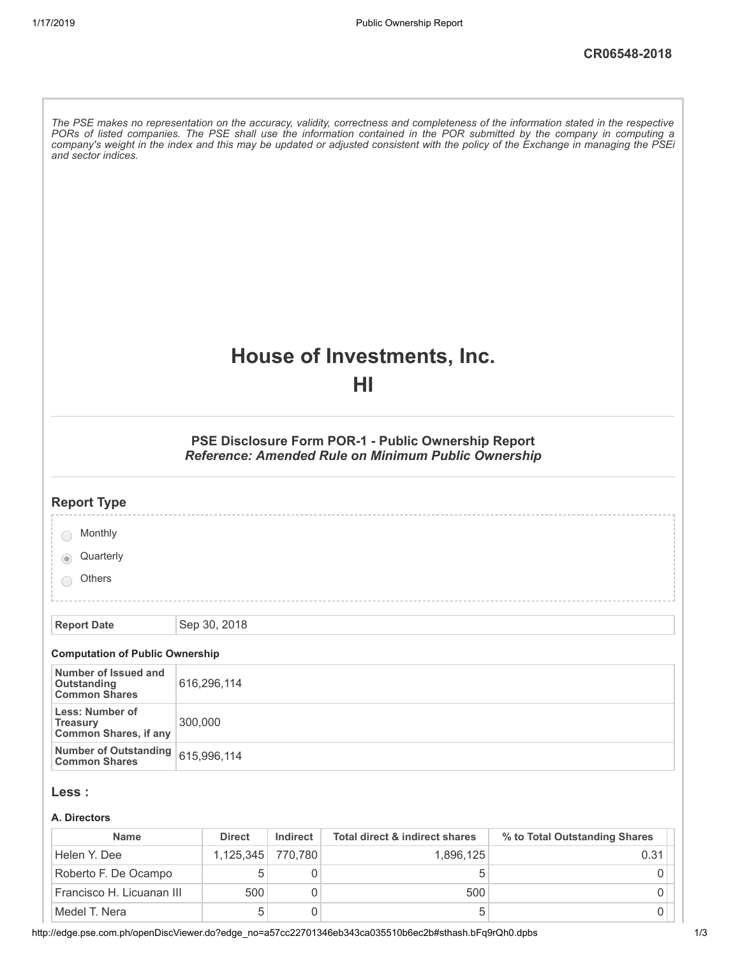| and sector indices.                                                |         |               |          |                                                                                                            | The PSE makes no representation on the accuracy, validity, correctness and completeness of the information stated in the respective<br>PORs of listed companies. The PSE shall use the information contained in the POR submitted by the company in computing a<br>company's weight in the index and this may be updated or adjusted consistent with the policy of the Exchange in managing the PSEi |
|--------------------------------------------------------------------|---------|---------------|----------|------------------------------------------------------------------------------------------------------------|------------------------------------------------------------------------------------------------------------------------------------------------------------------------------------------------------------------------------------------------------------------------------------------------------------------------------------------------------------------------------------------------------|
|                                                                    |         |               |          | House of Investments, Inc.<br>НI                                                                           |                                                                                                                                                                                                                                                                                                                                                                                                      |
|                                                                    |         |               |          | PSE Disclosure Form POR-1 - Public Ownership Report<br>Reference: Amended Rule on Minimum Public Ownership |                                                                                                                                                                                                                                                                                                                                                                                                      |
| <b>Report Type</b>                                                 |         |               |          |                                                                                                            |                                                                                                                                                                                                                                                                                                                                                                                                      |
| Monthly                                                            |         |               |          |                                                                                                            |                                                                                                                                                                                                                                                                                                                                                                                                      |
| Quarterly                                                          |         |               |          |                                                                                                            |                                                                                                                                                                                                                                                                                                                                                                                                      |
| Others                                                             |         |               |          |                                                                                                            |                                                                                                                                                                                                                                                                                                                                                                                                      |
| <b>Report Date</b>                                                 |         | Sep 30, 2018  |          |                                                                                                            |                                                                                                                                                                                                                                                                                                                                                                                                      |
| <b>Computation of Public Ownership</b>                             |         |               |          |                                                                                                            |                                                                                                                                                                                                                                                                                                                                                                                                      |
| Number of Issued and<br>Outstanding<br><b>Common Shares</b>        |         | 616,296,114   |          |                                                                                                            |                                                                                                                                                                                                                                                                                                                                                                                                      |
| Less: Number of<br><b>Treasury</b><br><b>Common Shares, if any</b> | 300,000 |               |          |                                                                                                            |                                                                                                                                                                                                                                                                                                                                                                                                      |
| <b>Number of Outstanding</b><br><b>Common Shares</b>               |         | 615,996,114   |          |                                                                                                            |                                                                                                                                                                                                                                                                                                                                                                                                      |
| Less :<br>A. Directors<br><b>Name</b>                              |         | <b>Direct</b> | Indirect | Total direct & indirect shares                                                                             | % to Total Outstanding Shares                                                                                                                                                                                                                                                                                                                                                                        |

| <b>Name</b>               | <b>Direct</b>     | Indirect | Total direct & indirect shares | % to Total Outstanding Shares |
|---------------------------|-------------------|----------|--------------------------------|-------------------------------|
| Helen Y. Dee              | 1.125.345 770.780 |          | 1.896.125                      | 0.31                          |
| Roberto F. De Ocampo      |                   |          |                                |                               |
| Francisco H. Licuanan III | 500               |          | 500                            |                               |
| Medel T. Nera             |                   |          |                                |                               |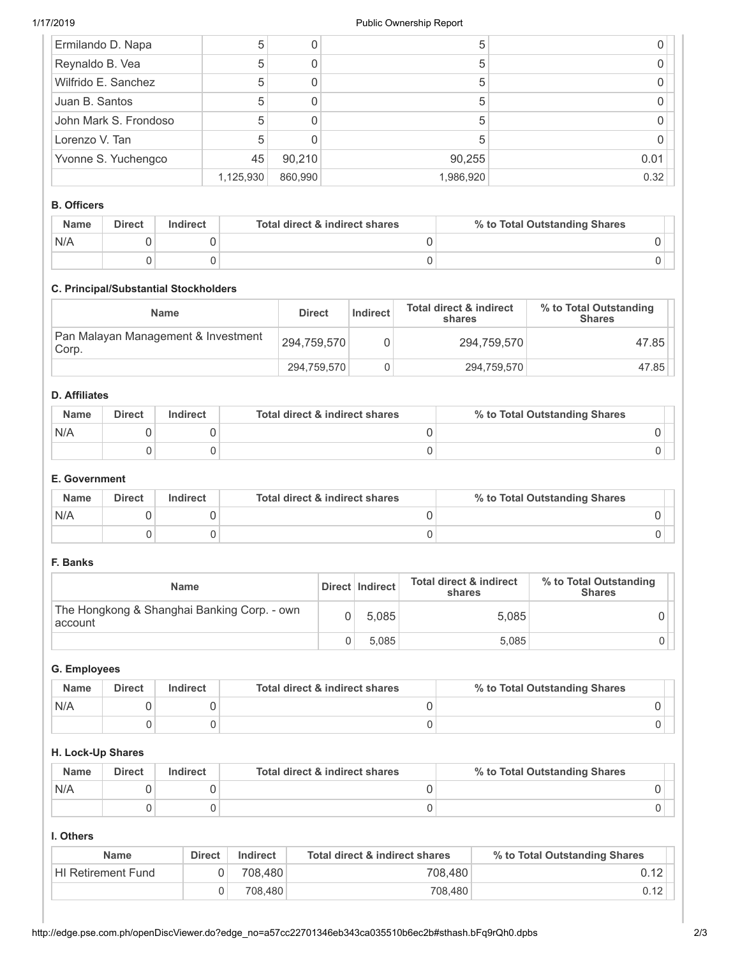| Ermilando D. Napa     | 5         |         | b         |      |
|-----------------------|-----------|---------|-----------|------|
| Reynaldo B. Vea       | 5         |         | b         |      |
| Wilfrido E. Sanchez   | 5         |         |           |      |
| Juan B. Santos        | 5         |         | 5         |      |
| John Mark S. Frondoso | 5         |         | 5         |      |
| Lorenzo V. Tan        |           |         |           |      |
| Yvonne S. Yuchengco   | 45        | 90,210  | 90,255    | 0.01 |
|                       | 1,125,930 | 860,990 | 1,986,920 | 0.32 |

# **B. Officers**

| <b>Name</b> | <b>Direct</b> | <b>Indirect</b> | Total direct & indirect shares | % to Total Outstanding Shares |
|-------------|---------------|-----------------|--------------------------------|-------------------------------|
| N/A         |               |                 |                                |                               |
|             |               |                 |                                |                               |

## **C. Principal/Substantial Stockholders**

| Name                                         | <b>Direct</b> | Indirect | <b>Total direct &amp; indirect</b><br>shares | % to Total Outstanding<br><b>Shares</b> |
|----------------------------------------------|---------------|----------|----------------------------------------------|-----------------------------------------|
| Pan Malayan Management & Investment<br>Corp. | 294.759.570   |          | 294.759.570                                  | 47.85                                   |
|                                              | 294,759,570   |          | 294,759,570                                  | 47.85                                   |

# **D. Affiliates**

| <b>Name</b> | <b>Direct</b> | Indirect | Total direct & indirect shares | % to Total Outstanding Shares |
|-------------|---------------|----------|--------------------------------|-------------------------------|
| N/A         |               |          |                                |                               |
|             |               |          |                                |                               |

# **E. Government**

| <b>Name</b> | <b>Direct</b> | Indirect | Total direct & indirect shares | % to Total Outstanding Shares |
|-------------|---------------|----------|--------------------------------|-------------------------------|
| N/A         |               |          |                                |                               |
|             |               |          |                                |                               |

# **F. Banks**

| <b>Name</b>                                            | Direct   Indirect | <b>Total direct &amp; indirect</b><br>shares | % to Total Outstanding<br><b>Shares</b> |
|--------------------------------------------------------|-------------------|----------------------------------------------|-----------------------------------------|
| The Hongkong & Shanghai Banking Corp. - own<br>account | 5.085             | 5,085                                        |                                         |
|                                                        | 5.085             | 5,085                                        |                                         |

# **G. Employees**

| <b>Name</b> | <b>Direct</b> | Indirect | Total direct & indirect shares | % to Total Outstanding Shares |
|-------------|---------------|----------|--------------------------------|-------------------------------|
| N/A         |               |          |                                |                               |
|             |               |          |                                |                               |

### **H. Lock-Up Shares**

| <b>Name</b> | <b>Direct</b> | Indirect | Total direct & indirect shares | % to Total Outstanding Shares |
|-------------|---------------|----------|--------------------------------|-------------------------------|
| N/A         |               |          |                                |                               |
|             |               |          |                                |                               |

### **I. Others**

| <b>Name</b>               | <b>Direct</b> | Indirect | Total direct & indirect shares | % to Total Outstanding Shares |
|---------------------------|---------------|----------|--------------------------------|-------------------------------|
| <b>HI Retirement Fund</b> |               | 708.480  | 708.480                        | 0.12                          |
|                           |               | 708.480  | 708,480                        |                               |